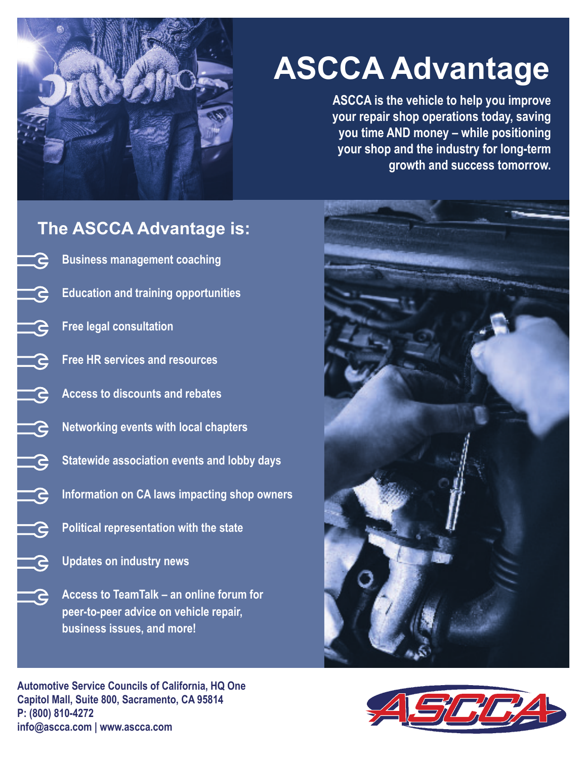

# **ASCCA Advantage**

**ASCCA is the vehicle to help you improve your repair shop operations today, saving you time AND money – while positioning your shop and the industry for long-term growth and success tomorrow.**

# **The ASCCA Advantage is: Business management coaching Education and training opportunities** <u>re</u> **Free legal consultation**  <u>- S</u> **Free HR services and resources**  <u>a</u> **Access to discounts and rebates** æ <u>- S</u> **Networking events with local chapters** <u>- S</u> **Statewide association events and lobby days Information on CA laws impacting shop owners**  <u>'S</u> <u>- S</u> **Political representation with the state** G **Updates on industry news Access to TeamTalk – an online forum for**  <u> S</u> **peer-to-peer advice on vehicle repair, business issues, and more!**



**Automotive Service Councils of California, HQ One Capitol Mall, Suite 800, Sacramento, CA 9581**4 **P: (800) 810-4272 info@ascca.com | www.ascca.com**

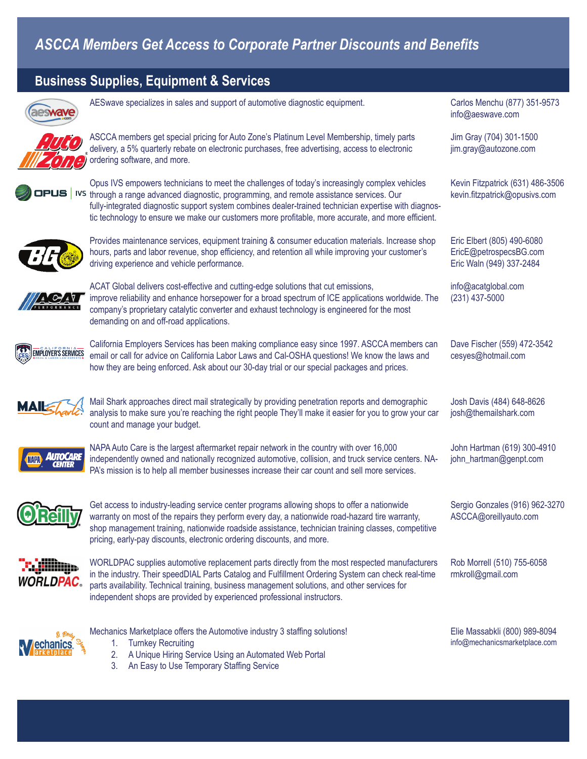## *ASCCA Members Get Access to Corporate Partner Discounts and Benefi ts*

### **Business Supplies, Equipment & Services**



AESwave specializes in sales and support of automotive diagnostic equipment.



ASCCA members get special pricing for Auto Zone's Platinum Level Membership, timely parts delivery, a 5% quarterly rebate on electronic purchases, free advertising, access to electronic ordering software, and more.



Opus IVS empowers technicians to meet the challenges of today's increasingly complex vehicles **DPUS** IVS through a range advanced diagnostic, programming, and remote assistance services. Our fully-integrated diagnostic support system combines dealer-trained technician expertise with diagnostic technology to ensure we make our customers more profitable, more accurate, and more efficient.



Provides maintenance services, equipment training & consumer education materials. Increase shop hours, parts and labor revenue, shop efficiency, and retention all while improving your customer's driving experience and vehicle performance.



ACAT Global delivers cost-effective and cutting-edge solutions that cut emissions, improve reliability and enhance horsepower for a broad spectrum of ICE applications worldwide. The company's proprietary catalytic converter and exhaust technology is engineered for the most demanding on and off-road applications.



California Employers Services has been making compliance easy since 1997. ASCCA members can email or call for advice on California Labor Laws and Cal-OSHA questions! We know the laws and how they are being enforced. Ask about our 30-day trial or our special packages and prices.

Mail Shark approaches direct mail strategically by providing penetration reports and demographic analysis to make sure you're reaching the right people They'll make it easier for you to grow your car count and manage your budget.



NAPA Auto Care is the largest aftermarket repair network in the country with over 16,000 independently owned and nationally recognized automotive, collision, and truck service centers. NA-PA's mission is to help all member businesses increase their car count and sell more services.



Get access to industry-leading service center programs allowing shops to offer a nationwide warranty on most of the repairs they perform every day, a nationwide road-hazard tire warranty, shop management training, nationwide roadside assistance, technician training classes, competitive pricing, early-pay discounts, electronic ordering discounts, and more.



WORLDPAC supplies automotive replacement parts directly from the most respected manufacturers in the industry. Their speedDIAL Parts Catalog and Fulfillment Ordering System can check real-time parts availability. Technical training, business management solutions, and other services for independent shops are provided by experienced professional instructors.



- Mechanics Marketplace offers the Automotive industry 3 staffing solutions!
	- 1. Turnkey Recruiting
	- 2. A Unique Hiring Service Using an Automated Web Portal
	- 3. An Easy to Use Temporary Staffing Service

Carlos Menchu (877) 351-9573 info@aeswave.com

Jim Gray (704) 301-1500 jim.gray@autozone.com

Kevin Fitzpatrick (631) 486-3506 kevin.fitzpatrick@opusivs.com

Eric Elbert (805) 490-6080 EricE@petrospecsBG.com Eric Waln (949) 337-2484

info@acatglobal.com (231) 437-5000

Dave Fischer (559) 472-3542 cesyes@hotmail.com

Josh Davis (484) 648-8626 josh@themailshark.com

John Hartman (619) 300-4910 john\_hartman@genpt.com

Sergio Gonzales (916) 962-3270 ASCCA@oreillyauto.com

Rob Morrell (510) 755-6058 rmkroll@gmail.com

Elie Massabkli (800) 989-8094 info@mechanicsmarketplace.com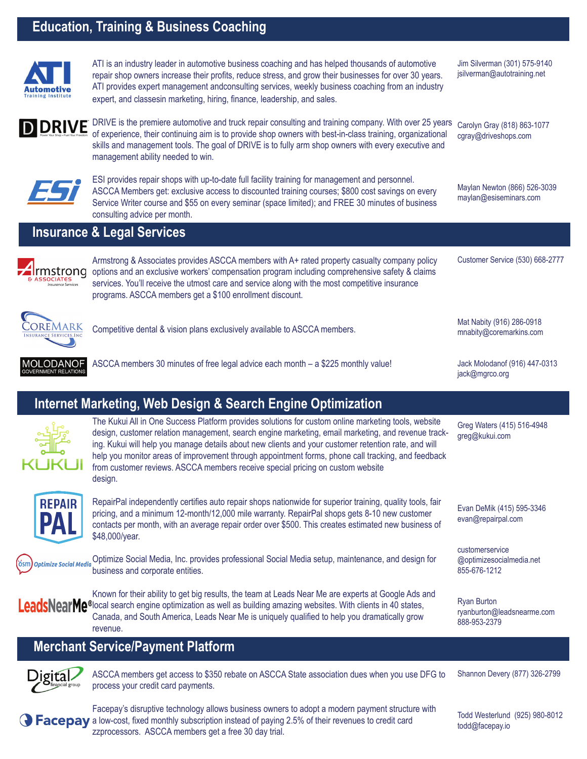### **Education, Training & Business Coaching**

management ability needed to win.



ATI is an industry leader in automotive business coaching and has helped thousands of automotive repair shop owners increase their profits, reduce stress, and grow their businesses for over 30 years. ATI provides expert management andconsulting services, weekly business coaching from an industry expert, and classesin marketing, hiring, finance, leadership, and sales.

DRIVE is the premiere automotive and truck repair consulting and training company. With over 25 years of experience, their continuing aim is to provide shop owners with best-in-class training, organizational skills and management tools. The goal of DRIVE is to fully arm shop owners with every executive and

Carolyn Gray (818) 863-1077 cgray@driveshops.com

Maylan Newton (866) 526-3039 maylan@esiseminars.com

Customer Service (530) 668-2777

Mat Nabity (916) 286-0918 mnabity@coremarkins.com

Jack Molodanof (916) 447-0313

Greg Waters (415) 516-4948

Evan DeMik (415) 595-3346 evan@repairpal.com

@optimizesocialmedia.net

jack@mgrco.org

greg@kukui.com

customerservice

855-676-1212

Ryan Burton

888-953-2379

Jim Silverman (301) 575-9140 jsilverman@autotraining.net



**D DRIVE** 

ESI provides repair shops with up-to-date full facility training for management and personnel. ASCCA Members get: exclusive access to discounted training courses; \$800 cost savings on every Service Writer course and \$55 on every seminar (space limited); and FREE 30 minutes of business consulting advice per month.

### **Insurance & Legal Services**



Armstrong & Associates provides ASCCA members with A+ rated property casualty company policy Irmstrong options and an exclusive workers' compensation program including comprehensive safety & claims services. You'll receive the utmost care and service along with the most competitive insurance programs. ASCCA members get a \$100 enrollment discount.



Competitive dental & vision plans exclusively available to ASCCA members.



ASCCA members 30 minutes of free legal advice each month – a \$225 monthly value!

### **Internet Marketing, Web Design & Search Engine Optimization**



The Kukui All in One Success Platform provides solutions for custom online marketing tools, website design, customer relation management, search engine marketing, email marketing, and revenue tracking. Kukui will help you manage details about new clients and your customer retention rate, and will help you monitor areas of improvement through appointment forms, phone call tracking, and feedback from customer reviews. ASCCA members receive special pricing on custom website design.



Ծsm

RepairPal independently certifies auto repair shops nationwide for superior training, quality tools, fair pricing, and a minimum 12-month/12,000 mile warranty. RepairPal shops gets 8-10 new customer contacts per month, with an average repair order over \$500. This creates estimated new business of \$48,000/year.

Optimize Social Media Optimize Social Media, Inc. provides professional Social Media setup, maintenance, and design for business and corporate entities.

Known for their ability to get big results, the team at Leads Near Me are experts at Google Ads and LeadsNearMe®local search engine optimization as well as building amazing websites. With clients in 40 states, Canada, and South America, Leads Near Me is uniquely qualified to help you dramatically grow revenue.

### **Merchant Service/Payment Platform**



ASCCA members get access to \$350 rebate on ASCCA State association dues when you use DFG to process your credit card payments.

Shannon Devery (877) 326-2799

ryanburton@leadsnearme.com



Facepay's disruptive technology allows business owners to adopt a modern payment structure with **a Facepay** a low-cost, fixed monthly subscription instead of paying 2.5% of their revenues to credit card zzprocessors. ASCCA members get a free 30 day trial.

Todd Westerlund (925) 980-8012 todd@facepay.io